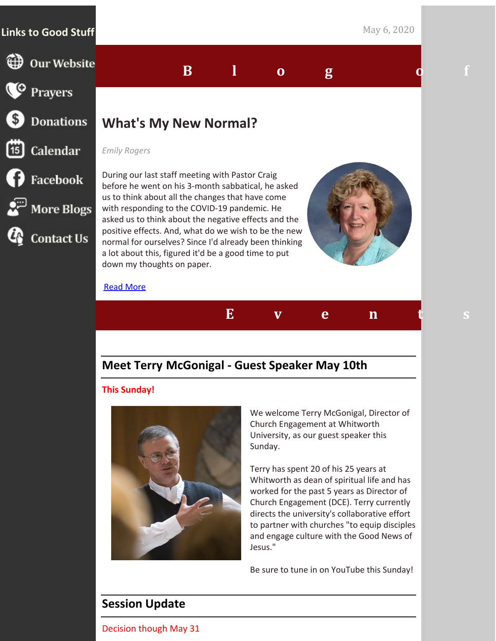## **Links to Good Stuff** May 6, 2020

**D** Our Website

**Donations** 

**CO** Prayers

<sup>15</sup> Calendar

 $\bigcirc$  Facebook

 $\mathbb{R}^{\square}$  More Blogs

**Contact Us** 

# **What's My New Normal?**

#### *Emily Rogers*

During our last staff meeting with Pastor Craig before he went on his 3-month sabbatical, he asked us to think about all the changes that have come with responding to the COVID-19 pandemic. He asked us to think about the negative effects and the positive effects. And, what do we wish to be the new normal for ourselves? Since I'd already been thinking a lot about this, figured it'd be a good time to put down my thoughts on paper.

#### Read [More](http://www.1stpresdowntown.org/whats-my-new-normal/?utm_source=eNews+May+6%2C+2020&utm_campaign=eNews+5.6.2020&utm_medium=email)



## **Meet Terry McGonigal - Guest Speaker May 10th**

#### **This Sunday!**



We welcome Terry McGonigal, Director of Church Engagement at Whitworth University, as our guest speaker this Sunday.

Terry has spent 20 of his 25 years at Whitworth as dean of spiritual life and has worked for the past 5 years as Director of Church Engagement (DCE). Terry currently directs the university's collaborative effort to partner with churches "to equip disciples and engage culture with the Good News of Jesus."

Be sure to tune in on YouTube this Sunday!

# **Session Update**

Decision though May 31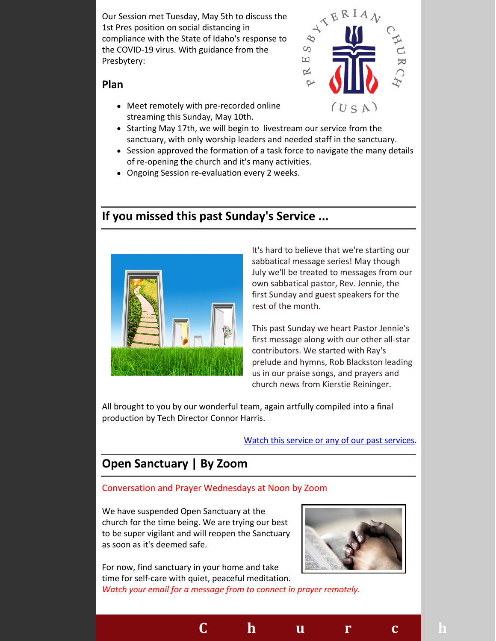Our Session met Tuesday, May 5th to discuss the 1st Pres position on social distancing in compliance with the State of Idaho's response to the COVID-19 virus. With guidance from the Presbytery:



#### **Plan**

- Meet remotely with pre-recorded online streaming this Sunday, May 10th.
- Starting May 17th, we will begin to livestream our service from the sanctuary, with only worship leaders and needed staff in the sanctuary.
- Session approved the formation of a task force to navigate the many details of re-opening the church and it's many activities.
- Ongoing Session re-evaluation every 2 weeks.

## **If you missed this past Sunday's Service ...**



It's hard to believe that we're starting our sabbatical message series! May though July we'll be treated to messages from our own sabbatical pastor, Rev. Jennie, the first Sunday and guest speakers for the rest of the month.

This past Sunday we heart Pastor Jennie's first message along with our other all-star contributors. We started with Ray's prelude and hymns, Rob Blackston leading us in our praise songs, and prayers and church news from Kierstie Reininger.

All brought to you by our wonderful team, again artfully compiled into a final production by Tech Director Connor Harris.

#### Watch this service or any of our past [services.](https://www.youtube.com/channel/UCCfruZriuZfS2hVar79nXbQ)

# **Open Sanctuary | By Zoom**

#### Conversation and Prayer Wednesdays at Noon by Zoom

We have suspended Open Sanctuary at the church for the time being. We are trying our best to be super vigilant and will reopen the Sanctuary as soon as it's deemed safe.



For now, find sanctuary in your home and take time for self-care with quiet, peaceful meditation. *Watch your email for a message from to connect in prayer remotely.*

**C h u r c h N e w s**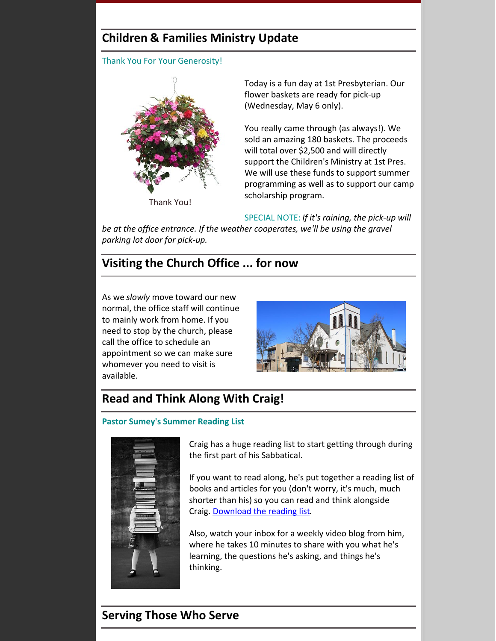# **Children & Families Ministry Update**

Thank You For Your Generosity!



Today is a fun day at 1st Presbyterian. Our flower baskets are ready for pick-up (Wednesday, May 6 only).

You really came through (as always!). We sold an amazing 180 baskets. The proceeds will total over \$2,500 and will directly support the Children's Ministry at 1st Pres. We will use these funds to support summer programming as well as to support our camp scholarship program.

SPECIAL NOTE: *If it's raining, the pick-up will*

*be at the office entrance. If the weather cooperates, we'll be using the gravel parking lot door for pick-up.*

# **Visiting the Church Office ... for now**

As we *slowly* move toward our new normal, the office staff will continue to mainly work from home. If you need to stop by the church, please call the office to schedule an appointment so we can make sure whomever you need to visit is available.



# **Read and Think Along With Craig!**

#### **Pastor Sumey's Summer Reading List**



Craig has a huge reading list to start getting through during the first part of his Sabbatical.

If you want to read along, he's put together a reading list of books and articles for you (don't worry, it's much, much shorter than his) so you can read and think alongside Craig. [Download](https://files.constantcontact.com/1d935adc001/1abf8692-150f-4ac3-9390-c817944dc3ce.pdf) the reading list.

Also, watch your inbox for a weekly video blog from him, where he takes 10 minutes to share with you what he's learning, the questions he's asking, and things he's thinking.

## **Serving Those Who Serve**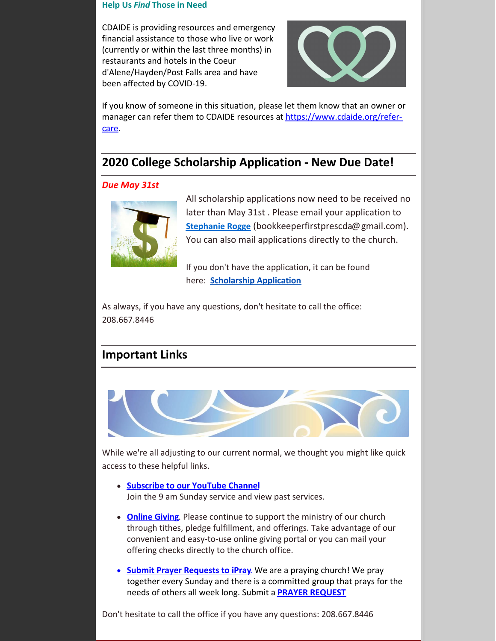#### **Help Us** *Find* **Those in Need**

CDAIDE is providing resources and emergency financial assistance to those who live or work (currently or within the last three months) in restaurants and hotels in the Coeur d'Alene/Hayden/Post Falls area and have been affected by COVID-19.



If you know of someone in this situation, please let them know that an owner or manager can refer them to CDAIDE resources at [https://www.cdaide.org/refer](https://www.cdaide.org/refer-care?utm_source=eNews+May+6%2C+2020&utm_campaign=eNews+5.6.2020&utm_medium=email)care.

## **2020 College Scholarship Application - New Due Date!**

#### *Due May 31st*



All scholarship applications now need to be received no later than May 31st . Please email your application to **[Stephanie](mailto:bookkeeperfirstprescda@gmail.com) Rogge** (bookkeeperfirstprescda@gmail.com). You can also mail applications directly to the church.

If you don't have the application, it can be found here: **[Scholarship](http://www.1stpresdowntown.org/ed-scholarship-application/?utm_source=eNews+May+6%2C+2020&utm_campaign=eNews+5.6.2020&utm_medium=email) Application**

As always, if you have any questions, don't hesitate to call the office: 208.667.8446

## **Important Links**



While we're all adjusting to our current normal, we thought you might like quick access to these helpful links.

- **[Subscribe](https://www.youtube.com/channel/UCCfruZriuZfS2hVar79nXbQ) to our YouTube Channel** Join the 9 am Sunday service and view past services.
- **[Online](https://www.eservicepayments.com/cgi-bin/Vanco_ver3.vps?appver3=Fi1giPL8kwX_Oe1AO50jRhFtjI3jPush-TiV_cWeMqos4NSQukCYDzKLUtTTUlsf2EvVVAEjqawDomKT1pbouWbIw4yEvEZZftNOfs1-eIM%3D&ver=3&utm_source=eNews+May+6%2C+2020&utm_campaign=eNews+5.6.2020&utm_medium=email) Giving**. Please continue to support the ministry of our church through tithes, pledge fulfillment, and offerings. Take advantage of our convenient and easy-to-use online giving portal or you can mail your offering checks directly to the church office.
- **Submit Prayer [Requests](http://www.1stpresdowntown.org/contact/?utm_source=eNews+May+6%2C+2020&utm_campaign=eNews+5.6.2020&utm_medium=email) to iPray**. We are a praying church! We pray together every Sunday and there is a committed group that prays for the needs of others all week long. Submit a **PRAYER [REQUEST](http://www.1stpresdowntown.org/contact/?utm_source=eNews+May+6%2C+2020&utm_campaign=eNews+5.6.2020&utm_medium=email)**

Don't hesitate to call the office if you have any questions: 208.667.8446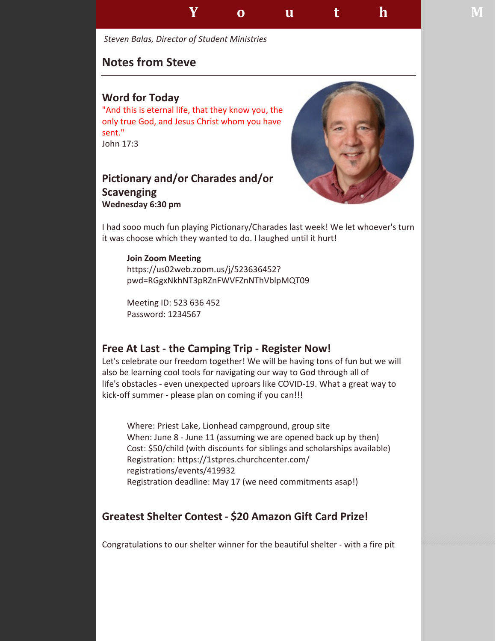

*Steven Balas, Director of Student Ministries*

## **Notes from Steve**

### **Word for Today**

"And this is eternal life, that they know you, the only true God, and Jesus Christ whom you have sent." John 17:3

## **Pictionary and/or Charades and/or Scavenging Wednesday 6:30 pm**



I had sooo much fun playing Pictionary/Charades last week! We let whoever's turn it was choose which they wanted to do. I laughed until it hurt!

**Join Zoom Meeting** https://us02web.zoom.us/j/523636452? pwd=RGgxNkhNT3pRZnFWVFZnNThVblpMQT09

Meeting ID: 523 636 452 Password: 1234567

## **Free At Last - the Camping Trip - Register Now!**

Let's celebrate our freedom together! We will be having tons of fun but we will also be learning cool tools for navigating our way to God through all of life's obstacles - even unexpected uproars like COVID-19. What a great way to kick-off summer - please plan on coming if you can!!!

Where: Priest Lake, Lionhead campground, group site When: June 8 - June 11 (assuming we are opened back up by then) Cost: \$50/child (with discounts for siblings and scholarships available) Registration: https://1stpres.churchcenter.com/ registrations/events/419932 Registration deadline: May 17 (we need commitments asap!)

## **Greatest Shelter Contest - \$20 Amazon Gift Card Prize!**

Congratulations to our shelter winner for the beautiful shelter - with a fire pit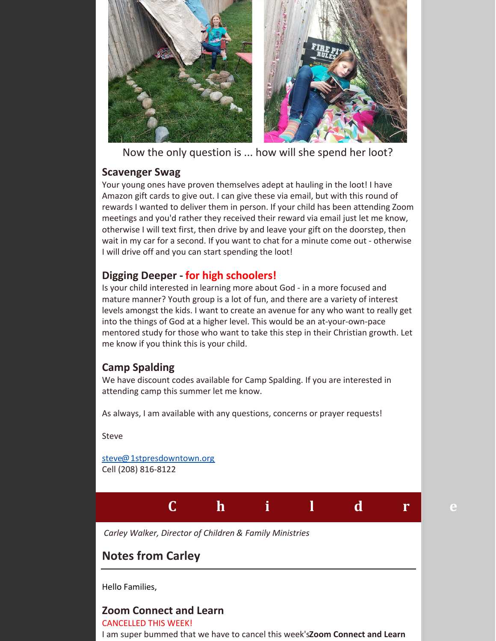

Now the only question is ... how will she spend her loot?

## **Scavenger Swag**

Your young ones have proven themselves adept at hauling in the loot! I have Amazon gift cards to give out. I can give these via email, but with this round of rewards I wanted to deliver them in person. If your child has been attending Zoom meetings and you'd rather they received their reward via email just let me know, otherwise I will text first, then drive by and leave your gift on the doorstep, then wait in my car for a second. If you want to chat for a minute come out - otherwise I will drive off and you can start spending the loot!

## **Digging Deeper - for high schoolers!**

Is your child interested in learning more about God - in a more focused and mature manner? Youth group is a lot of fun, and there are a variety of interest levels amongst the kids. I want to create an avenue for any who want to really get into the things of God at a higher level. This would be an at-your-own-pace mentored study for those who want to take this step in their Christian growth. Let me know if you think this is your child.

## **Camp Spalding**

We have discount codes available for Camp Spalding. If you are interested in attending camp this summer let me know.

As always, I am available with any questions, concerns or prayer requests!

Steve

[steve@1stpresdowntown.org](mailto:steve@1stpresdowntown.org) Cell (208) 816-8122



*Carley Walker, Director of Children & Family Ministries*

# **Notes from Carley**

Hello Families,

#### **Zoom Connect and Learn** CANCELLED THIS WEEK!

I am super bummed that we have to cancel this week's**Zoom Connect and Learn**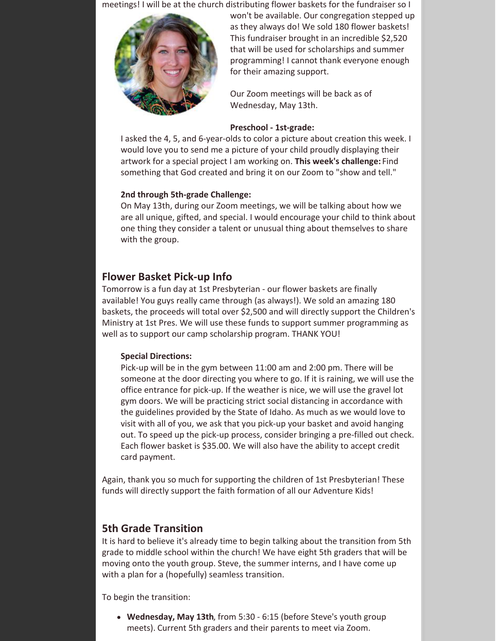meetings! I will be at the church distributing flower baskets for the fundraiser so I



won't be available. Our congregation stepped up as they always do! We sold 180 flower baskets! This fundraiser brought in an incredible \$2,520 that will be used for scholarships and summer programming! I cannot thank everyone enough for their amazing support.

Our Zoom meetings will be back as of Wednesday, May 13th.

#### **Preschool - 1st-grade:**

I asked the 4, 5, and 6-year-olds to color a picture about creation this week. I would love you to send me a picture of your child proudly displaying their artwork for a special project I am working on. **This week's challenge:** Find something that God created and bring it on our Zoom to "show and tell."

#### **2nd through 5th-grade Challenge:**

On May 13th, during our Zoom meetings, we will be talking about how we are all unique, gifted, and special. I would encourage your child to think about one thing they consider a talent or unusual thing about themselves to share with the group.

## **Flower Basket Pick-up Info**

Tomorrow is a fun day at 1st Presbyterian - our flower baskets are finally available! You guys really came through (as always!). We sold an amazing 180 baskets, the proceeds will total over \$2,500 and will directly support the Children's Ministry at 1st Pres. We will use these funds to support summer programming as well as to support our camp scholarship program. THANK YOU!

#### **Special Directions:**

Pick-up will be in the gym between 11:00 am and 2:00 pm. There will be someone at the door directing you where to go. If it is raining, we will use the office entrance for pick-up. If the weather is nice, we will use the gravel lot gym doors. We will be practicing strict social distancing in accordance with the guidelines provided by the State of Idaho. As much as we would love to visit with all of you, we ask that you pick-up your basket and avoid hanging out. To speed up the pick-up process, consider bringing a pre-filled out check. Each flower basket is \$35.00. We will also have the ability to accept credit card payment.

Again, thank you so much for supporting the children of 1st Presbyterian! These funds will directly support the faith formation of all our Adventure Kids!

## **5th Grade Transition**

It is hard to believe it's already time to begin talking about the transition from 5th grade to middle school within the church! We have eight 5th graders that will be moving onto the youth group. Steve, the summer interns, and I have come up with a plan for a (hopefully) seamless transition.

To begin the transition:

**Wednesday, May 13th**, from 5:30 - 6:15 (before Steve's youth group meets). Current 5th graders and their parents to meet via Zoom.